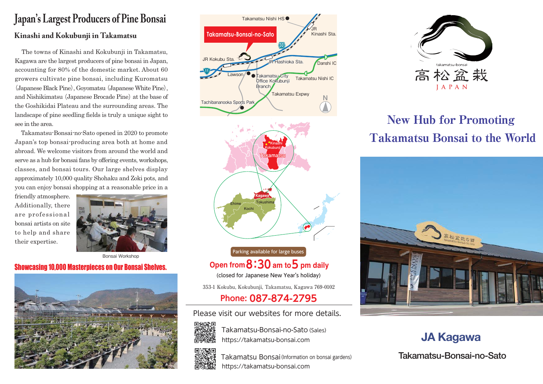## Japan's Largest Producers of Pine Bonsai Kinashi and Kokubunji in Takamatsu

 The towns of Kinashi and Kokubunji in Takamatsu, Kagawa are the largest producers of pine bonsai in Japan, accounting for 80% of the domestic market. About 60 growers cultivate pine bonsai, including Kuromatsu (Japanese Black Pine), Goyomatsu (Japanese White Pine), and Nishikimatsu (Japanese Brocade Pine) at the base of the Goshikidai Plateau and the surrounding areas. The landscape of pine seedling fields is truly a unique sight to see in the area.

 Takamatsu-Bonsai-no-Sato opened in 2020 to promote Japan's top bonsai-producing area both at home and abroad. We welcome visitors from around the world and serve as a hub for bonsai fans by offering events, workshops, classes, and bonsai tours. Our large shelves display approximately 10,000 quality Shohaku and Zoki pots, and you can enjoy bonsai shopping at a reasonable price in a

friendly atmosphere. Additionally, there are professional bonsai artists on site to help and share their expertise.



Bonsai Workshop

## Showcasing 10,000 Masterpieces on Our Bonsai Shelves.







Parking available for large buses Open from  $8:30$  am to  $5$  pm daily

(closed for Japanese New Year's holiday)

353-1 Kokubu, Kokubunji, Takamatsu, Kagawa 769-0102

Phone: 087-874-2795

Please visit our websites for more details.



Takamatsu-Bonsai-no-Sato (Sales) https://takamatsu-bonsai.com



https://takamatsu-bonsai.com Takamatsu Bonsai (Information on bonsai gardens)



## New Hub for Promoting Takamatsu Bonsai to the World



JA Kagawa

Takamatsu-Bonsai-no-Sato